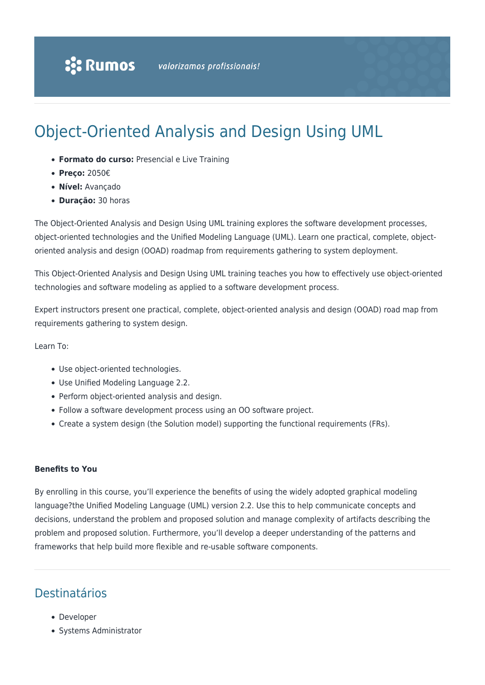# Object-Oriented Analysis and Design Using UML

- **Formato do curso:** Presencial e Live Training
- **Preço:** 2050€
- **Nível:** Avançado
- **Duração:** 30 horas

The Object-Oriented Analysis and Design Using UML training explores the software development processes, object-oriented technologies and the Unified Modeling Language (UML). Learn one practical, complete, objectoriented analysis and design (OOAD) roadmap from requirements gathering to system deployment.

This Object-Oriented Analysis and Design Using UML training teaches you how to effectively use object-oriented technologies and software modeling as applied to a software development process.

Expert instructors present one practical, complete, object-oriented analysis and design (OOAD) road map from requirements gathering to system design.

Learn To:

- Use object-oriented technologies.
- Use Unified Modeling Language 2.2.
- Perform object-oriented analysis and design.
- Follow a software development process using an OO software project.
- Create a system design (the Solution model) supporting the functional requirements (FRs).

#### **Benefits to You**

By enrolling in this course, you'll experience the benefits of using the widely adopted graphical modeling language?the Unified Modeling Language (UML) version 2.2. Use this to help communicate concepts and decisions, understand the problem and proposed solution and manage complexity of artifacts describing the problem and proposed solution. Furthermore, you'll develop a deeper understanding of the patterns and frameworks that help build more flexible and re-usable software components.

#### Destinatários

- Developer
- Systems Administrator